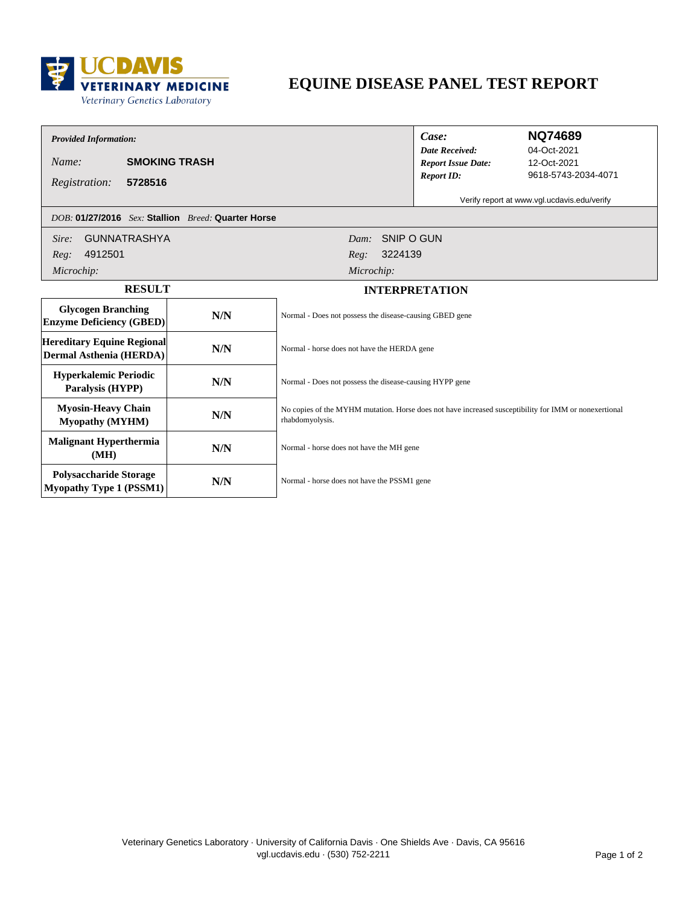

# **EQUINE DISEASE PANEL TEST REPORT**

## *Provided Information:*

*Name:* **SMOKING TRASH**

*DOB:* **01/27/2016** *Sex:* **Stallion** *Breed:* **Quarter Horse**

*Date Received: Case: Report ID: Report Issue Date:*

### **NQ74689**

12-Oct-2021 9618-5743-2034-4071 04-Oct-2021

**5728516** *Registration:*

Verify report at www.vgl.ucdavis.edu/verify

| <b>GUNNATRASHYA</b><br>Sire:                                    |     | SNIP O GUN<br>Dam:                                                                                                       |  |
|-----------------------------------------------------------------|-----|--------------------------------------------------------------------------------------------------------------------------|--|
| 4912501<br>Reg:                                                 |     | 3224139<br>Reg:                                                                                                          |  |
| Microchip:                                                      |     | Microchip:                                                                                                               |  |
| <b>RESULT</b>                                                   |     | <b>INTERPRETATION</b>                                                                                                    |  |
| <b>Glycogen Branching</b><br><b>Enzyme Deficiency (GBED)</b>    | N/N | Normal - Does not possess the disease-causing GBED gene                                                                  |  |
| <b>Hereditary Equine Regional</b><br>Dermal Asthenia (HERDA)    | N/N | Normal - horse does not have the HERDA gene                                                                              |  |
| <b>Hyperkalemic Periodic</b><br>Paralysis (HYPP)                | N/N | Normal - Does not possess the disease-causing HYPP gene                                                                  |  |
| <b>Myosin-Heavy Chain</b><br><b>Myopathy (MYHM)</b>             | N/N | No copies of the MYHM mutation. Horse does not have increased susceptibility for IMM or nonexertional<br>rhabdomyolysis. |  |
| <b>Malignant Hyperthermia</b><br>(MH)                           | N/N | Normal - horse does not have the MH gene                                                                                 |  |
| <b>Polysaccharide Storage</b><br><b>Myopathy Type 1 (PSSM1)</b> | N/N | Normal - horse does not have the PSSM1 gene                                                                              |  |